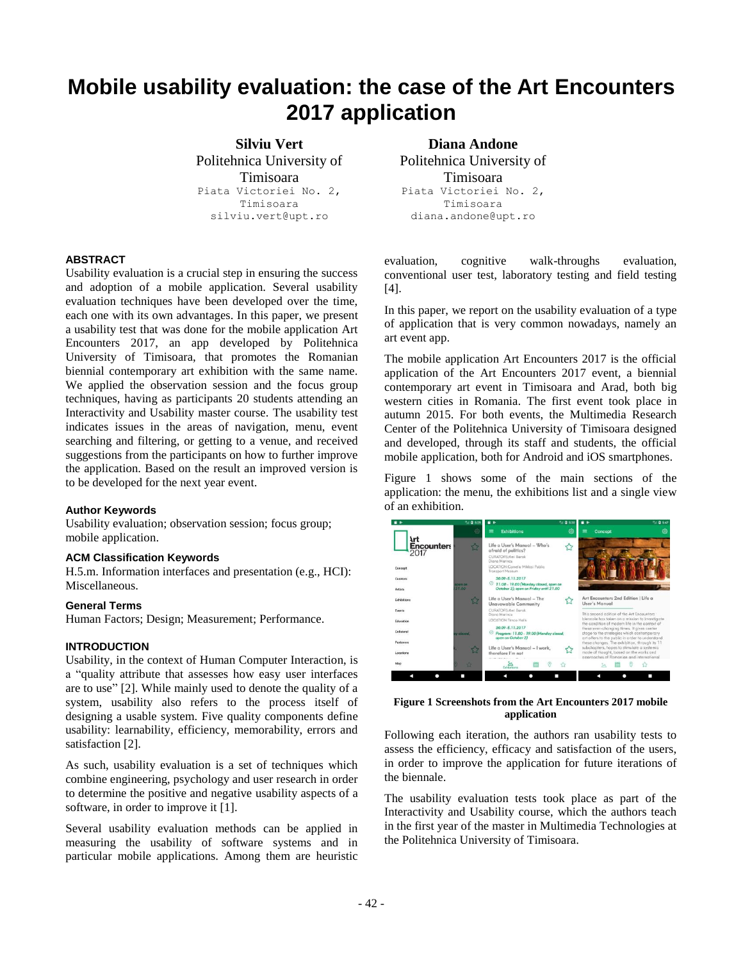# **Mobile usability evaluation: the case of the Art Encounters 2017 application**

**Silviu Vert** Politehnica University of Timisoara Piata Victoriei No. 2, Timisoara silviu.vert@upt.ro

## **ABSTRACT**

Usability evaluation is a crucial step in ensuring the success and adoption of a mobile application. Several usability evaluation techniques have been developed over the time, each one with its own advantages. In this paper, we present a usability test that was done for the mobile application Art Encounters 2017, an app developed by Politehnica University of Timisoara, that promotes the Romanian biennial contemporary art exhibition with the same name. We applied the observation session and the focus group techniques, having as participants 20 students attending an Interactivity and Usability master course. The usability test indicates issues in the areas of navigation, menu, event searching and filtering, or getting to a venue, and received suggestions from the participants on how to further improve the application. Based on the result an improved version is to be developed for the next year event.

#### **Author Keywords**

Usability evaluation; observation session; focus group; mobile application.

#### **ACM Classification Keywords**

H.5.m. Information interfaces and presentation (e.g., HCI): Miscellaneous.

#### **General Terms**

Human Factors; Design; Measurement; Performance.

## **INTRODUCTION**

Usability, in the context of Human Computer Interaction, is a "quality attribute that assesses how easy user interfaces are to use" [2]. While mainly used to denote the quality of a system, usability also refers to the process itself of designing a usable system. Five quality components define usability: learnability, efficiency, memorability, errors and satisfaction [2].

As such, usability evaluation is a set of techniques which combine engineering, psychology and user research in order to determine the positive and negative usability aspects of a software, in order to improve it [1].

Several usability evaluation methods can be applied in measuring the usability of software systems and in particular mobile applications. Among them are heuristic

**Diana Andone**  Politehnica University of Timisoara Piata Victoriei No. 2, Timisoara diana.andone@upt.ro

evaluation, cognitive walk-throughs evaluation, conventional user test, laboratory testing and field testing [4].

In this paper, we report on the usability evaluation of a type of application that is very common nowadays, namely an art event app.

The mobile application Art Encounters 2017 is the official application of the Art Encounters 2017 event, a biennial contemporary art event in Timisoara and Arad, both big western cities in Romania. The first event took place in autumn 2015. For both events, the Multimedia Research Center of the Politehnica University of Timisoara designed and developed, through its staff and students, the official mobile application, both for Android and iOS smartphones.

[Figure 1](#page-0-0) shows some of the main sections of the application: the menu, the exhibitions list and a single view of an exhibition.



**Figure 1 Screenshots from the Art Encounters 2017 mobile application**

<span id="page-0-0"></span>Following each iteration, the authors ran usability tests to assess the efficiency, efficacy and satisfaction of the users, in order to improve the application for future iterations of the biennale.

The usability evaluation tests took place as part of the Interactivity and Usability course, which the authors teach in the first year of the master in Multimedia Technologies at the Politehnica University of Timisoara.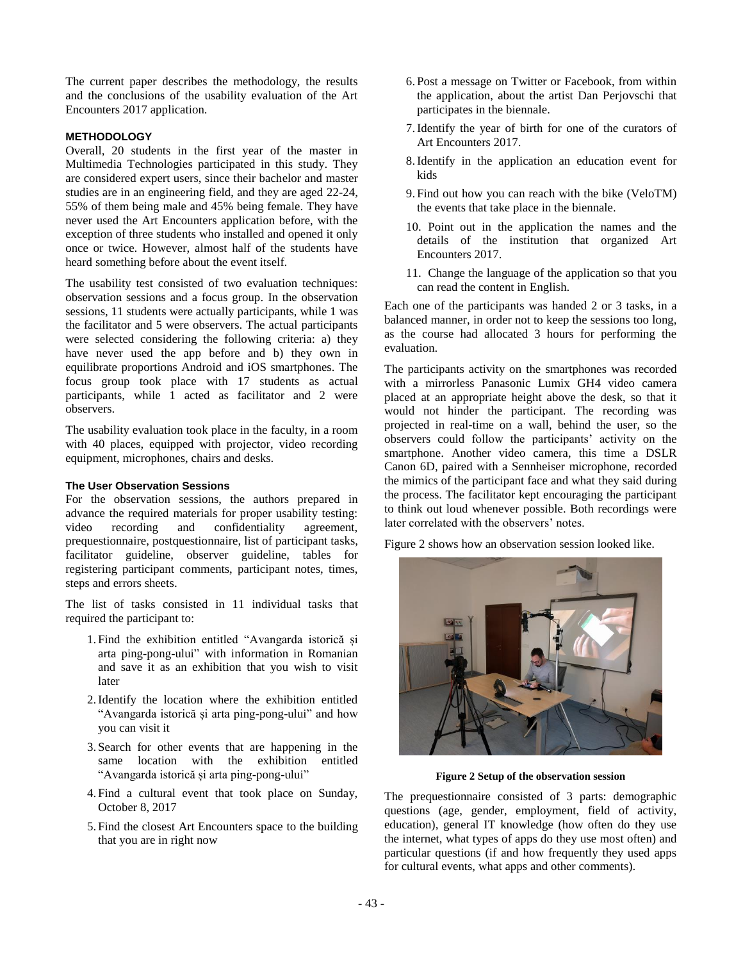The current paper describes the methodology, the results and the conclusions of the usability evaluation of the Art Encounters 2017 application.

## **METHODOLOGY**

Overall, 20 students in the first year of the master in Multimedia Technologies participated in this study. They are considered expert users, since their bachelor and master studies are in an engineering field, and they are aged 22-24, 55% of them being male and 45% being female. They have never used the Art Encounters application before, with the exception of three students who installed and opened it only once or twice. However, almost half of the students have heard something before about the event itself.

The usability test consisted of two evaluation techniques: observation sessions and a focus group. In the observation sessions, 11 students were actually participants, while 1 was the facilitator and 5 were observers. The actual participants were selected considering the following criteria: a) they have never used the app before and b) they own in equilibrate proportions Android and iOS smartphones. The focus group took place with 17 students as actual participants, while 1 acted as facilitator and 2 were observers.

The usability evaluation took place in the faculty, in a room with 40 places, equipped with projector, video recording equipment, microphones, chairs and desks.

# **The User Observation Sessions**

For the observation sessions, the authors prepared in advance the required materials for proper usability testing: video recording and confidentiality agreement, prequestionnaire, postquestionnaire, list of participant tasks, facilitator guideline, observer guideline, tables for registering participant comments, participant notes, times, steps and errors sheets.

The list of tasks consisted in 11 individual tasks that required the participant to:

- 1. Find the exhibition entitled "Avangarda istorică și arta ping-pong-ului" with information in Romanian and save it as an exhibition that you wish to visit later
- 2.Identify the location where the exhibition entitled "Avangarda istorică și arta ping-pong-ului" and how you can visit it
- 3. Search for other events that are happening in the same location with the exhibition entitled "Avangarda istorică și arta ping-pong-ului"
- 4. Find a cultural event that took place on Sunday, October 8, 2017
- 5. Find the closest Art Encounters space to the building that you are in right now
- 6. Post a message on Twitter or Facebook, from within the application, about the artist Dan Perjovschi that participates in the biennale.
- 7.Identify the year of birth for one of the curators of Art Encounters 2017.
- 8.Identify in the application an education event for kids
- 9. Find out how you can reach with the bike (VeloTM) the events that take place in the biennale.
- 10. Point out in the application the names and the details of the institution that organized Art Encounters 2017.
- 11. Change the language of the application so that you can read the content in English.

Each one of the participants was handed 2 or 3 tasks, in a balanced manner, in order not to keep the sessions too long, as the course had allocated 3 hours for performing the evaluation.

The participants activity on the smartphones was recorded with a mirrorless Panasonic Lumix GH4 video camera placed at an appropriate height above the desk, so that it would not hinder the participant. The recording was projected in real-time on a wall, behind the user, so the observers could follow the participants' activity on the smartphone. Another video camera, this time a DSLR Canon 6D, paired with a Sennheiser microphone, recorded the mimics of the participant face and what they said during the process. The facilitator kept encouraging the participant to think out loud whenever possible. Both recordings were later correlated with the observers' notes.

[Figure 2](#page-1-0) shows how an observation session looked like.



**Figure 2 Setup of the observation session**

<span id="page-1-0"></span>The prequestionnaire consisted of 3 parts: demographic questions (age, gender, employment, field of activity, education), general IT knowledge (how often do they use the internet, what types of apps do they use most often) and particular questions (if and how frequently they used apps for cultural events, what apps and other comments).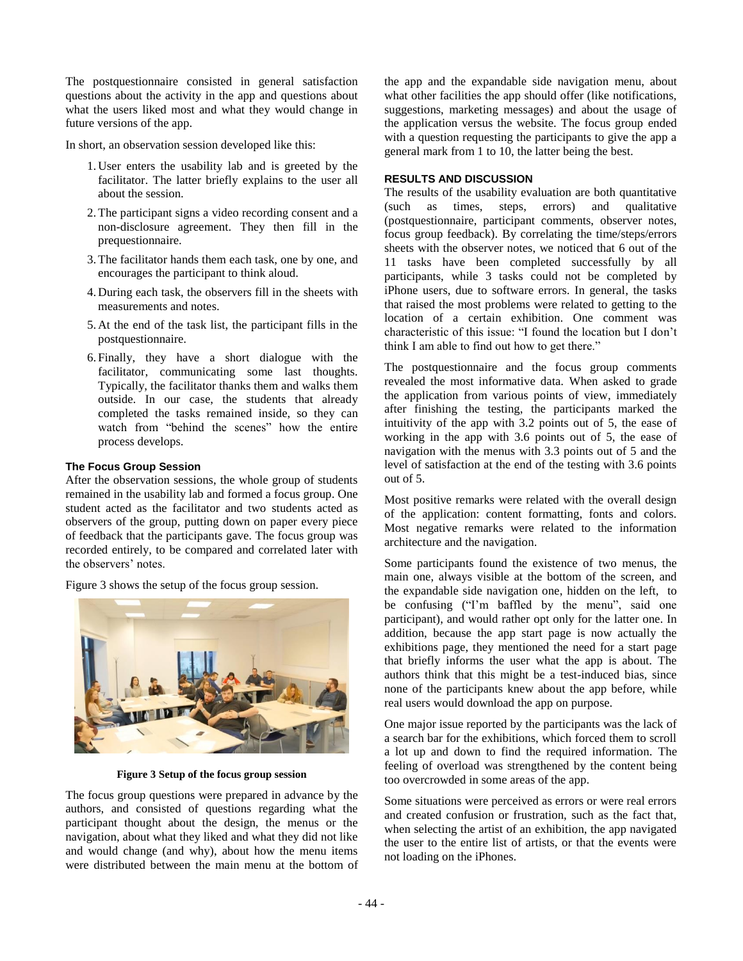The postquestionnaire consisted in general satisfaction questions about the activity in the app and questions about what the users liked most and what they would change in future versions of the app.

In short, an observation session developed like this:

- 1. User enters the usability lab and is greeted by the facilitator. The latter briefly explains to the user all about the session.
- 2.The participant signs a video recording consent and a non-disclosure agreement. They then fill in the prequestionnaire.
- 3.The facilitator hands them each task, one by one, and encourages the participant to think aloud.
- 4. During each task, the observers fill in the sheets with measurements and notes.
- 5. At the end of the task list, the participant fills in the postquestionnaire.
- 6. Finally, they have a short dialogue with the facilitator, communicating some last thoughts. Typically, the facilitator thanks them and walks them outside. In our case, the students that already completed the tasks remained inside, so they can watch from "behind the scenes" how the entire process develops.

## **The Focus Group Session**

After the observation sessions, the whole group of students remained in the usability lab and formed a focus group. One student acted as the facilitator and two students acted as observers of the group, putting down on paper every piece of feedback that the participants gave. The focus group was recorded entirely, to be compared and correlated later with the observers' notes.

[Figure 3](#page-2-0) shows the setup of the focus group session.



**Figure 3 Setup of the focus group session**

<span id="page-2-0"></span>The focus group questions were prepared in advance by the authors, and consisted of questions regarding what the participant thought about the design, the menus or the navigation, about what they liked and what they did not like and would change (and why), about how the menu items were distributed between the main menu at the bottom of

the app and the expandable side navigation menu, about what other facilities the app should offer (like notifications, suggestions, marketing messages) and about the usage of the application versus the website. The focus group ended with a question requesting the participants to give the app a general mark from 1 to 10, the latter being the best.

## **RESULTS AND DISCUSSION**

The results of the usability evaluation are both quantitative (such as times, steps, errors) and qualitative (postquestionnaire, participant comments, observer notes, focus group feedback). By correlating the time/steps/errors sheets with the observer notes, we noticed that 6 out of the 11 tasks have been completed successfully by all participants, while 3 tasks could not be completed by iPhone users, due to software errors. In general, the tasks that raised the most problems were related to getting to the location of a certain exhibition. One comment was characteristic of this issue: "I found the location but I don't think I am able to find out how to get there."

The postquestionnaire and the focus group comments revealed the most informative data. When asked to grade the application from various points of view, immediately after finishing the testing, the participants marked the intuitivity of the app with 3.2 points out of 5, the ease of working in the app with 3.6 points out of 5, the ease of navigation with the menus with 3.3 points out of 5 and the level of satisfaction at the end of the testing with 3.6 points out of 5.

Most positive remarks were related with the overall design of the application: content formatting, fonts and colors. Most negative remarks were related to the information architecture and the navigation.

Some participants found the existence of two menus, the main one, always visible at the bottom of the screen, and the expandable side navigation one, hidden on the left, to be confusing ("I'm baffled by the menu", said one participant), and would rather opt only for the latter one. In addition, because the app start page is now actually the exhibitions page, they mentioned the need for a start page that briefly informs the user what the app is about. The authors think that this might be a test-induced bias, since none of the participants knew about the app before, while real users would download the app on purpose.

One major issue reported by the participants was the lack of a search bar for the exhibitions, which forced them to scroll a lot up and down to find the required information. The feeling of overload was strengthened by the content being too overcrowded in some areas of the app.

Some situations were perceived as errors or were real errors and created confusion or frustration, such as the fact that, when selecting the artist of an exhibition, the app navigated the user to the entire list of artists, or that the events were not loading on the iPhones.